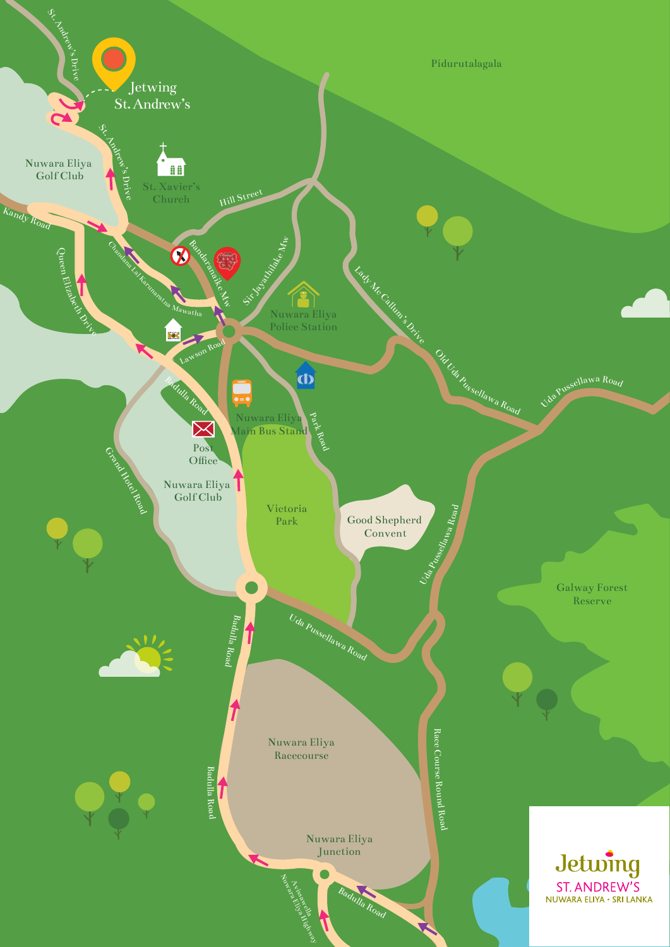